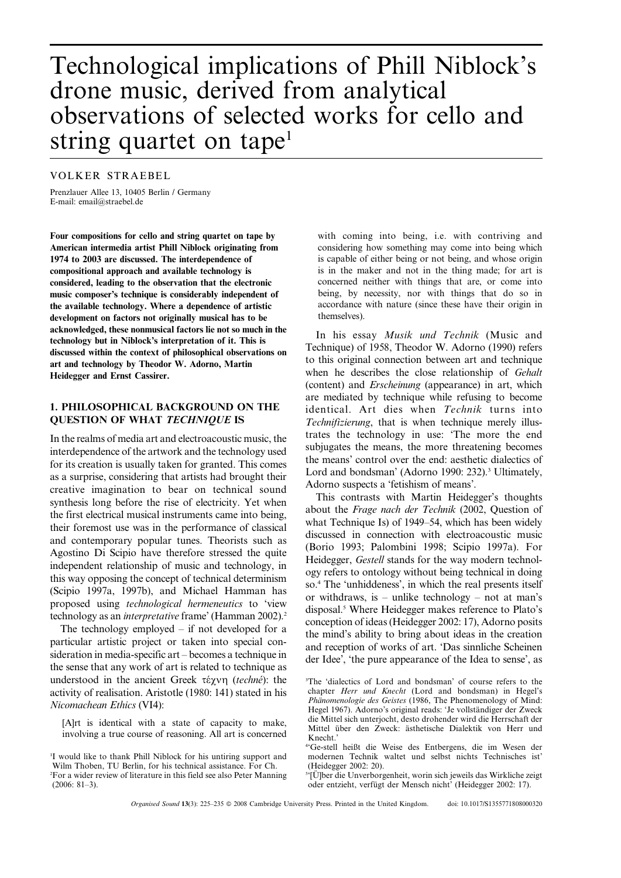# Technological implications of Phill Niblock's drone music, derived from analytical observations of selected works for cello and string quartet on tape<sup>1</sup>

# VOLKER STRAEBEL

Prenzlauer Allee 13, 10405 Berlin / Germany E-mail: email@straebel.de

Four compositions for cello and string quartet on tape by American intermedia artist Phill Niblock originating from 1974 to 2003 are discussed. The interdependence of compositional approach and available technology is considered, leading to the observation that the electronic music composer's technique is considerably independent of the available technology. Where a dependence of artistic development on factors not originally musical has to be acknowledged, these nonmusical factors lie not so much in the technology but in Niblock's interpretation of it. This is discussed within the context of philosophical observations on art and technology by Theodor W. Adorno, Martin Heidegger and Ernst Cassirer.

## 1. PHILOSOPHICAL BACKGROUND ON THE QUESTION OF WHAT TECHNIQUE IS

In the realms of media art and electroacoustic music, the interdependence of the artwork and the technology used for its creation is usually taken for granted. This comes as a surprise, considering that artists had brought their creative imagination to bear on technical sound synthesis long before the rise of electricity. Yet when the first electrical musical instruments came into being, their foremost use was in the performance of classical and contemporary popular tunes. Theorists such as Agostino Di Scipio have therefore stressed the quite independent relationship of music and technology, in this way opposing the concept of technical determinism (Scipio 1997a, 1997b), and Michael Hamman has proposed using technological hermeneutics to 'view technology as an *interpretative* frame' (Hamman 2002).<sup>2</sup>

The technology employed – if not developed for a particular artistic project or taken into special consideration in media-specific art – becomes a technique in the sense that any work of art is related to technique as understood in the ancient Greek  $\tau \varepsilon \chi \nu \eta$  (techne): the activity of realisation. Aristotle (1980: 141) stated in his Nicomachean Ethics (VI4):

[A]rt is identical with a state of capacity to make, involving a true course of reasoning. All art is concerned with coming into being, i.e. with contriving and considering how something may come into being which is capable of either being or not being, and whose origin is in the maker and not in the thing made; for art is concerned neither with things that are, or come into being, by necessity, nor with things that do so in accordance with nature (since these have their origin in themselves).

In his essay Musik und Technik (Music and Technique) of 1958, Theodor W. Adorno (1990) refers to this original connection between art and technique when he describes the close relationship of Gehalt (content) and Erscheinung (appearance) in art, which are mediated by technique while refusing to become identical. Art dies when Technik turns into Technifizierung, that is when technique merely illustrates the technology in use: 'The more the end subjugates the means, the more threatening becomes the means' control over the end: aesthetic dialectics of Lord and bondsman' (Adorno 1990: 232).<sup>3</sup> Ultimately, Adorno suspects a 'fetishism of means'.

This contrasts with Martin Heidegger's thoughts about the Frage nach der Technik (2002, Question of what Technique Is) of 1949–54, which has been widely discussed in connection with electroacoustic music (Borio 1993; Palombini 1998; Scipio 1997a). For Heidegger, Gestell stands for the way modern technology refers to ontology without being technical in doing so.4 The 'unhiddeness', in which the real presents itself or withdraws, is – unlike technology – not at man's disposal.<sup>5</sup> Where Heidegger makes reference to Plato's conception of ideas (Heidegger 2002: 17), Adorno posits the mind's ability to bring about ideas in the creation and reception of works of art. 'Das sinnliche Scheinen der Idee', 'the pure appearance of the Idea to sense', as

<sup>1</sup> I would like to thank Phill Niblock for his untiring support and Wilm Thoben, TU Berlin, for his technical assistance. For Ch. 2 For a wider review of literature in this field see also Peter Manning (2006: 81–3).

<sup>3</sup> The 'dialectics of Lord and bondsman' of course refers to the chapter Herr und Knecht (Lord and bondsman) in Hegel's Phänomenologie des Geistes (1986, The Phenomenology of Mind: Hegel 1967). Adorno's original reads: 'Je vollständiger der Zweck die Mittel sich unterjocht, desto drohender wird die Herrschaft der Mittel über den Zweck: ästhetische Dialektik von Herr und Knecht.'

<sup>4</sup> 'Ge-stell heißt die Weise des Entbergens, die im Wesen der modernen Technik waltet und selbst nichts Technisches ist' (Heidegger 2002: 20).

<sup>&</sup>lt;sup>5</sup>[Ü]ber die Unverborgenheit, worin sich jeweils das Wirkliche zeigt oder entzieht, verfügt der Mensch nicht<sup>'</sup> (Heidegger 2002: 17).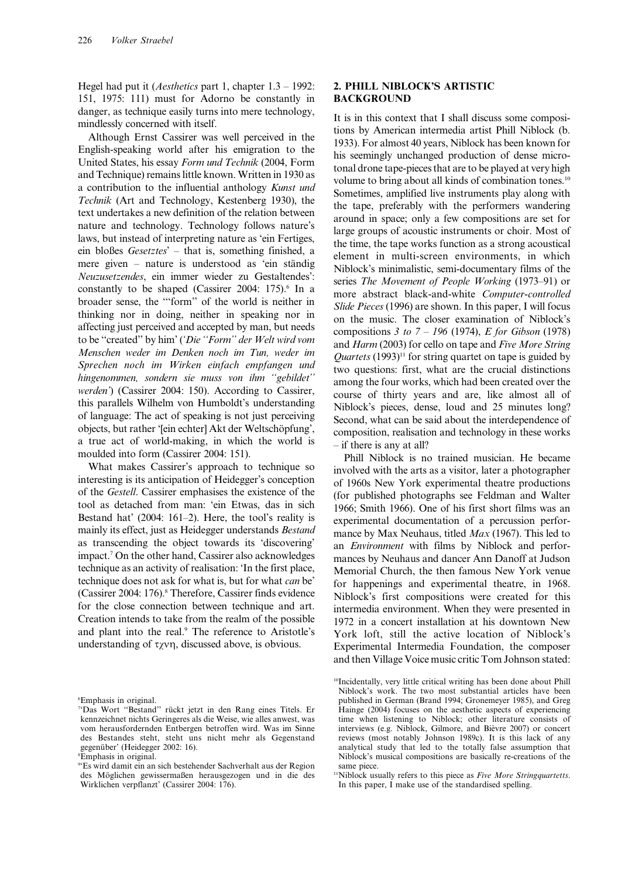Hegel had put it (Aesthetics part 1, chapter 1.3 – 1992: 151, 1975: 111) must for Adorno be constantly in danger, as technique easily turns into mere technology, mindlessly concerned with itself.

Although Ernst Cassirer was well perceived in the English-speaking world after his emigration to the United States, his essay Form und Technik (2004, Form and Technique) remains little known. Written in 1930 as a contribution to the influential anthology Kunst und Technik (Art and Technology, Kestenberg 1930), the text undertakes a new definition of the relation between nature and technology. Technology follows nature's laws, but instead of interpreting nature as 'ein Fertiges, ein bloßes Gesetztes' – that is, something finished, a mere given – nature is understood as 'ein ständig Neuzusetzendes, ein immer wieder zu Gestaltendes': constantly to be shaped (Cassirer 2004:  $175$ ).<sup>6</sup> In a broader sense, the '''form'' of the world is neither in thinking nor in doing, neither in speaking nor in affecting just perceived and accepted by man, but needs to be "created" by him' ('Die "Form" der Welt wird vom Menschen weder im Denken noch im Tun, weder im Sprechen noch im Wirken einfach empfangen und hingenommen, sondern sie muss von ihm ''gebildet'' werden') (Cassirer 2004: 150). According to Cassirer, this parallels Wilhelm von Humboldt's understanding of language: The act of speaking is not just perceiving objects, but rather '[ein echter] Akt der Weltschöpfung', a true act of world-making, in which the world is moulded into form (Cassirer 2004: 151).

What makes Cassirer's approach to technique so interesting is its anticipation of Heidegger's conception of the Gestell. Cassirer emphasises the existence of the tool as detached from man: 'ein Etwas, das in sich Bestand hat' (2004: 161–2). Here, the tool's reality is mainly its effect, just as Heidegger understands Bestand as transcending the object towards its 'discovering' impact.7 On the other hand, Cassirer also acknowledges technique as an activity of realisation: 'In the first place, technique does not ask for what is, but for what can be' (Cassirer 2004: 176).8 Therefore, Cassirer finds evidence for the close connection between technique and art. Creation intends to take from the realm of the possible and plant into the real.9 The reference to Aristotle's understanding of  $\tau \chi \nu \eta$ , discussed above, is obvious.

# 2. PHILL NIBLOCK'S ARTISTIC BACKGROUND

It is in this context that I shall discuss some compositions by American intermedia artist Phill Niblock (b. 1933). For almost 40 years, Niblock has been known for his seemingly unchanged production of dense microtonal drone tape-pieces that are to be played at very high volume to bring about all kinds of combination tones.<sup>10</sup> Sometimes, amplified live instruments play along with the tape, preferably with the performers wandering around in space; only a few compositions are set for large groups of acoustic instruments or choir. Most of the time, the tape works function as a strong acoustical element in multi-screen environments, in which Niblock's minimalistic, semi-documentary films of the series The Movement of People Working (1973–91) or more abstract black-and-white Computer-controlled Slide Pieces (1996) are shown. In this paper, I will focus on the music. The closer examination of Niblock's compositions 3 to  $7 - 196$  (1974), *E* for Gibson (1978) and Harm (2003) for cello on tape and Five More String *Quartets* (1993)<sup>11</sup> for string quartet on tape is guided by two questions: first, what are the crucial distinctions among the four works, which had been created over the course of thirty years and are, like almost all of Niblock's pieces, dense, loud and 25 minutes long? Second, what can be said about the interdependence of composition, realisation and technology in these works – if there is any at all?

Phill Niblock is no trained musician. He became involved with the arts as a visitor, later a photographer of 1960s New York experimental theatre productions (for published photographs see Feldman and Walter 1966; Smith 1966). One of his first short films was an experimental documentation of a percussion performance by Max Neuhaus, titled Max (1967). This led to an Environment with films by Niblock and performances by Neuhaus and dancer Ann Danoff at Judson Memorial Church, the then famous New York venue for happenings and experimental theatre, in 1968. Niblock's first compositions were created for this intermedia environment. When they were presented in 1972 in a concert installation at his downtown New York loft, still the active location of Niblock's Experimental Intermedia Foundation, the composer and then Village Voice music critic Tom Johnson stated:

<sup>6</sup> Emphasis in original.

<sup>&</sup>lt;sup>7</sup>'Das Wort "Bestand" rückt jetzt in den Rang eines Titels. Er kennzeichnet nichts Geringeres als die Weise, wie alles anwest, was vom herausfordernden Entbergen betroffen wird. Was im Sinne des Bestandes steht, steht uns nicht mehr als Gegenstand gegenüber' (Heidegger 2002: 16).

<sup>8</sup> Emphasis in original.

<sup>9</sup> 'Es wird damit ein an sich bestehender Sachverhalt aus der Region des Möglichen gewissermaßen herausgezogen und in die des Wirklichen verpflanzt' (Cassirer 2004: 176).

<sup>10</sup>Incidentally, very little critical writing has been done about Phill Niblock's work. The two most substantial articles have been published in German (Brand 1994; Gronemeyer 1985), and Greg Hainge (2004) focuses on the aesthetic aspects of experiencing time when listening to Niblock; other literature consists of interviews (e.g. Niblock, Gilmore, and Bièvre 2007) or concert reviews (most notably Johnson 1989c). It is this lack of any analytical study that led to the totally false assumption that Niblock's musical compositions are basically re-creations of the same piece.

 $11$ Niblock usually refers to this piece as Five More Stringquartetts. In this paper, I make use of the standardised spelling.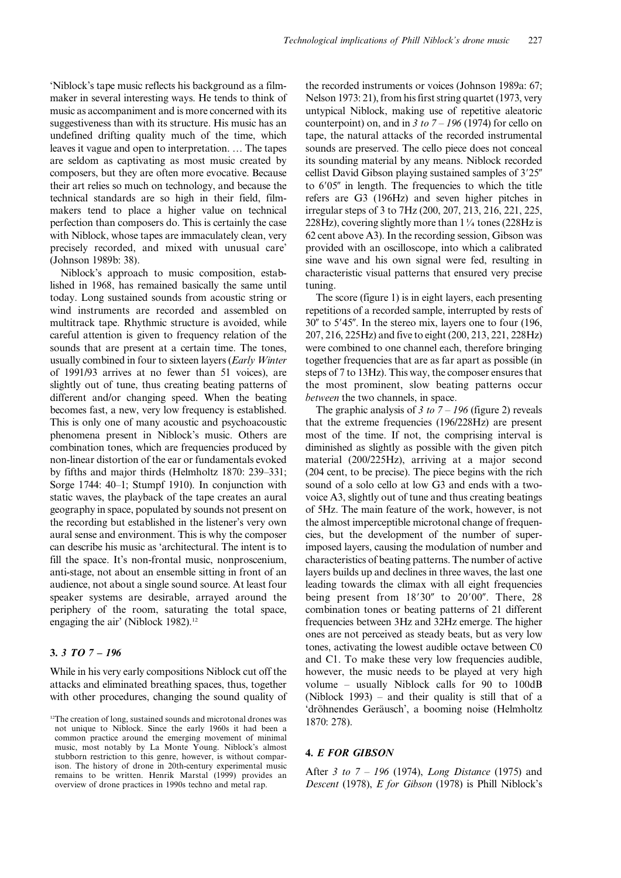'Niblock's tape music reflects his background as a filmmaker in several interesting ways. He tends to think of music as accompaniment and is more concerned with its suggestiveness than with its structure. His music has an undefined drifting quality much of the time, which leaves it vague and open to interpretation. … The tapes are seldom as captivating as most music created by composers, but they are often more evocative. Because their art relies so much on technology, and because the technical standards are so high in their field, filmmakers tend to place a higher value on technical perfection than composers do. This is certainly the case with Niblock, whose tapes are immaculately clean, very precisely recorded, and mixed with unusual care' (Johnson 1989b: 38).

Niblock's approach to music composition, established in 1968, has remained basically the same until today. Long sustained sounds from acoustic string or wind instruments are recorded and assembled on multitrack tape. Rhythmic structure is avoided, while careful attention is given to frequency relation of the sounds that are present at a certain time. The tones, usually combined in four to sixteen layers (Early Winter of 1991/93 arrives at no fewer than 51 voices), are slightly out of tune, thus creating beating patterns of different and/or changing speed. When the beating becomes fast, a new, very low frequency is established. This is only one of many acoustic and psychoacoustic phenomena present in Niblock's music. Others are combination tones, which are frequencies produced by non-linear distortion of the ear or fundamentals evoked by fifths and major thirds (Helmholtz 1870: 239–331; Sorge 1744: 40–1; Stumpf 1910). In conjunction with static waves, the playback of the tape creates an aural geography in space, populated by sounds not present on the recording but established in the listener's very own aural sense and environment. This is why the composer can describe his music as 'architectural. The intent is to fill the space. It's non-frontal music, nonproscenium, anti-stage, not about an ensemble sitting in front of an audience, not about a single sound source. At least four speaker systems are desirable, arrayed around the periphery of the room, saturating the total space, engaging the air' (Niblock 1982).<sup>12</sup>

### 3. 3 TO 7 – 196

While in his very early compositions Niblock cut off the attacks and eliminated breathing spaces, thus, together with other procedures, changing the sound quality of

the recorded instruments or voices (Johnson 1989a: 67; Nelson 1973: 21), from his first string quartet (1973, very untypical Niblock, making use of repetitive aleatoric counterpoint) on, and in  $3 \text{ to } 7 - 196$  (1974) for cello on tape, the natural attacks of the recorded instrumental sounds are preserved. The cello piece does not conceal its sounding material by any means. Niblock recorded cellist David Gibson playing sustained samples of  $3'25''$ to  $6'05''$  in length. The frequencies to which the title refers are G3 (196Hz) and seven higher pitches in irregular steps of 3 to 7Hz (200, 207, 213, 216, 221, 225, 228Hz), covering slightly more than  $1\frac{1}{4}$  tones (228Hz is 62 cent above A3). In the recording session, Gibson was provided with an oscilloscope, into which a calibrated sine wave and his own signal were fed, resulting in characteristic visual patterns that ensured very precise tuning.

The score (figure 1) is in eight layers, each presenting repetitions of a recorded sample, interrupted by rests of  $30''$  to  $5'45''$ . In the stereo mix, layers one to four (196, 207, 216, 225Hz) and five to eight (200, 213, 221, 228Hz) were combined to one channel each, therefore bringing together frequencies that are as far apart as possible (in steps of 7 to 13Hz). This way, the composer ensures that the most prominent, slow beating patterns occur between the two channels, in space.

The graphic analysis of 3 to  $7 - 196$  (figure 2) reveals that the extreme frequencies (196/228Hz) are present most of the time. If not, the comprising interval is diminished as slightly as possible with the given pitch material (200/225Hz), arriving at a major second (204 cent, to be precise). The piece begins with the rich sound of a solo cello at low G3 and ends with a twovoice A3, slightly out of tune and thus creating beatings of 5Hz. The main feature of the work, however, is not the almost imperceptible microtonal change of frequencies, but the development of the number of superimposed layers, causing the modulation of number and characteristics of beating patterns. The number of active layers builds up and declines in three waves, the last one leading towards the climax with all eight frequencies being present from  $18'30''$  to  $20'00''$ . There,  $28$ combination tones or beating patterns of 21 different frequencies between 3Hz and 32Hz emerge. The higher ones are not perceived as steady beats, but as very low tones, activating the lowest audible octave between C0 and C1. To make these very low frequencies audible, however, the music needs to be played at very high volume – usually Niblock calls for 90 to 100dB (Niblock 1993) – and their quality is still that of a 'dröhnendes Geräusch', a booming noise (Helmholtz 1870: 278).

#### 4. E FOR GIBSON

After 3 to 7 – 196 (1974), Long Distance (1975) and Descent (1978), E for Gibson (1978) is Phill Niblock's

<sup>&</sup>lt;sup>12</sup>The creation of long, sustained sounds and microtonal drones was not unique to Niblock. Since the early 1960s it had been a common practice around the emerging movement of minimal music, most notably by La Monte Young. Niblock's almost stubborn restriction to this genre, however, is without comparison. The history of drone in 20th-century experimental music remains to be written. Henrik Marstal (1999) provides an overview of drone practices in 1990s techno and metal rap.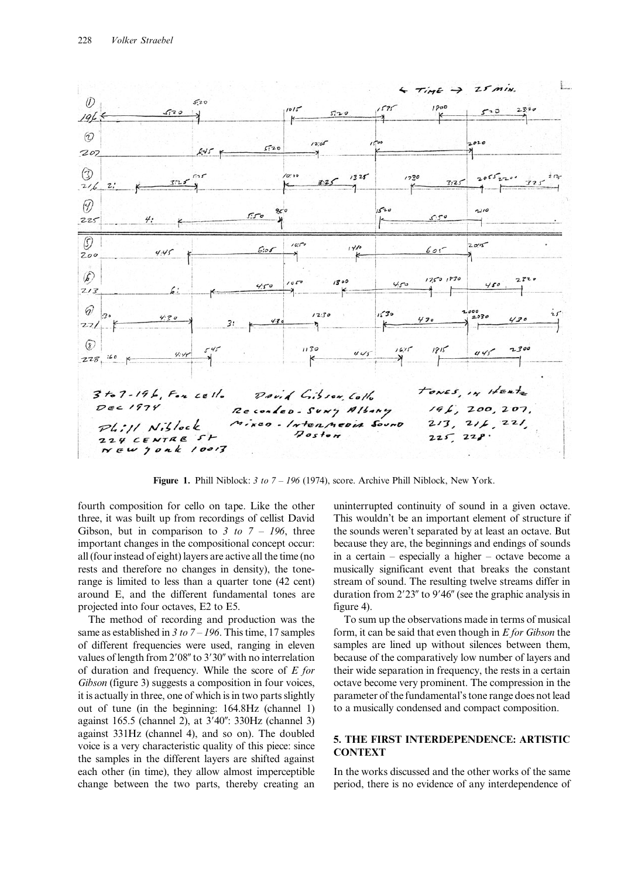

Figure 1. Phill Niblock: 3 to 7 – 196 (1974), score. Archive Phill Niblock, New York.

fourth composition for cello on tape. Like the other three, it was built up from recordings of cellist David Gibson, but in comparison to 3 to  $7 - 196$ , three important changes in the compositional concept occur: all (four instead of eight) layers are active all the time (no rests and therefore no changes in density), the tonerange is limited to less than a quarter tone (42 cent) around E, and the different fundamental tones are projected into four octaves, E2 to E5.

The method of recording and production was the same as established in 3 to  $7 - 196$ . This time, 17 samples of different frequencies were used, ranging in eleven values of length from  $2'08''$  to  $3'30''$  with no interrelation of duration and frequency. While the score of  $E$  for Gibson (figure 3) suggests a composition in four voices, it is actually in three, one of which is in two parts slightly out of tune (in the beginning: 164.8Hz (channel 1) against 165.5 (channel 2), at 3'40": 330Hz (channel 3) against 331Hz (channel 4), and so on). The doubled voice is a very characteristic quality of this piece: since the samples in the different layers are shifted against each other (in time), they allow almost imperceptible change between the two parts, thereby creating an

uninterrupted continuity of sound in a given octave. This wouldn't be an important element of structure if the sounds weren't separated by at least an octave. But because they are, the beginnings and endings of sounds in a certain – especially a higher – octave become a musically significant event that breaks the constant stream of sound. The resulting twelve streams differ in duration from  $2'23''$  to  $9'46''$  (see the graphic analysis in figure 4).

To sum up the observations made in terms of musical form, it can be said that even though in  $E$  for Gibson the samples are lined up without silences between them, because of the comparatively low number of layers and their wide separation in frequency, the rests in a certain octave become very prominent. The compression in the parameter of the fundamental's tone range does not lead to a musically condensed and compact composition.

## 5. THE FIRST INTERDEPENDENCE: ARTISTIC **CONTEXT**

In the works discussed and the other works of the same period, there is no evidence of any interdependence of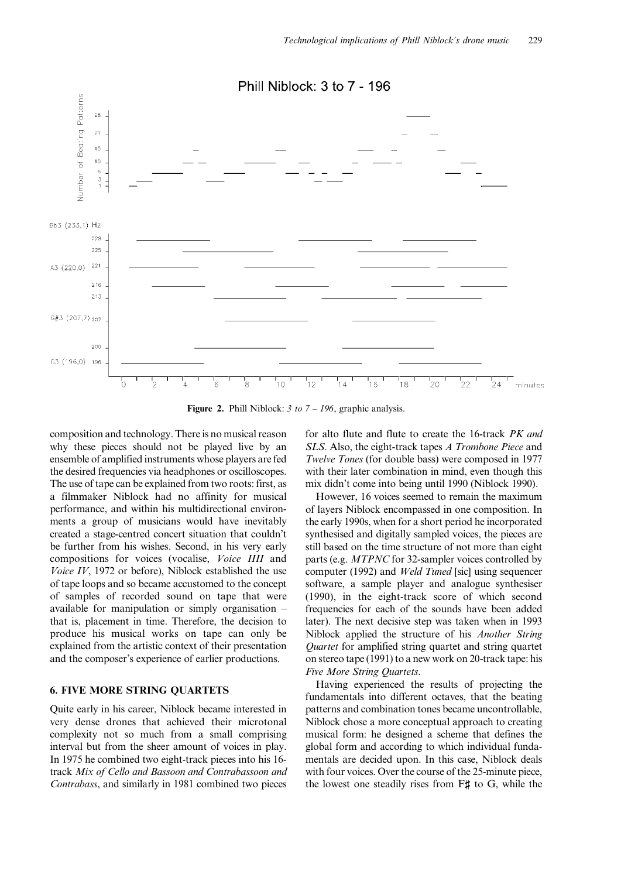

Figure 2. Phill Niblock:  $3 \text{ to } 7 - 196$ , graphic analysis.

composition and technology. There is no musical reason why these pieces should not be played live by an ensemble of amplified instruments whose players are fed the desired frequencies via headphones or oscilloscopes. The use of tape can be explained from two roots: first, as a filmmaker Niblock had no affinity for musical performance, and within his multidirectional environments a group of musicians would have inevitably created a stage-centred concert situation that couldn't be further from his wishes. Second, in his very early compositions for voices (vocalise, Voice IIII and Voice IV, 1972 or before), Niblock established the use of tape loops and so became accustomed to the concept of samples of recorded sound on tape that were available for manipulation or simply organisation – that is, placement in time. Therefore, the decision to produce his musical works on tape can only be explained from the artistic context of their presentation and the composer's experience of earlier productions.

# 6. FIVE MORE STRING QUARTETS

Quite early in his career, Niblock became interested in very dense drones that achieved their microtonal complexity not so much from a small comprising interval but from the sheer amount of voices in play. In 1975 he combined two eight-track pieces into his 16 track Mix of Cello and Bassoon and Contrabassoon and Contrabass, and similarly in 1981 combined two pieces for alto flute and flute to create the 16-track PK and SLS. Also, the eight-track tapes A Trombone Piece and Twelve Tones (for double bass) were composed in 1977 with their later combination in mind, even though this mix didn't come into being until 1990 (Niblock 1990).

However, 16 voices seemed to remain the maximum of layers Niblock encompassed in one composition. In the early 1990s, when for a short period he incorporated synthesised and digitally sampled voices, the pieces are still based on the time structure of not more than eight parts (e.g. MTPNC for 32-sampler voices controlled by computer (1992) and Weld Tuned [sic] using sequencer software, a sample player and analogue synthesiser (1990), in the eight-track score of which second frequencies for each of the sounds have been added later). The next decisive step was taken when in 1993 Niblock applied the structure of his Another String Quartet for amplified string quartet and string quartet on stereo tape (1991) to a new work on 20-track tape: his Five More String Quartets.

Having experienced the results of projecting the fundamentals into different octaves, that the beating patterns and combination tones became uncontrollable, Niblock chose a more conceptual approach to creating musical form: he designed a scheme that defines the global form and according to which individual fundamentals are decided upon. In this case, Niblock deals with four voices. Over the course of the 25-minute piece, the lowest one steadily rises from  $F\sharp$  to G, while the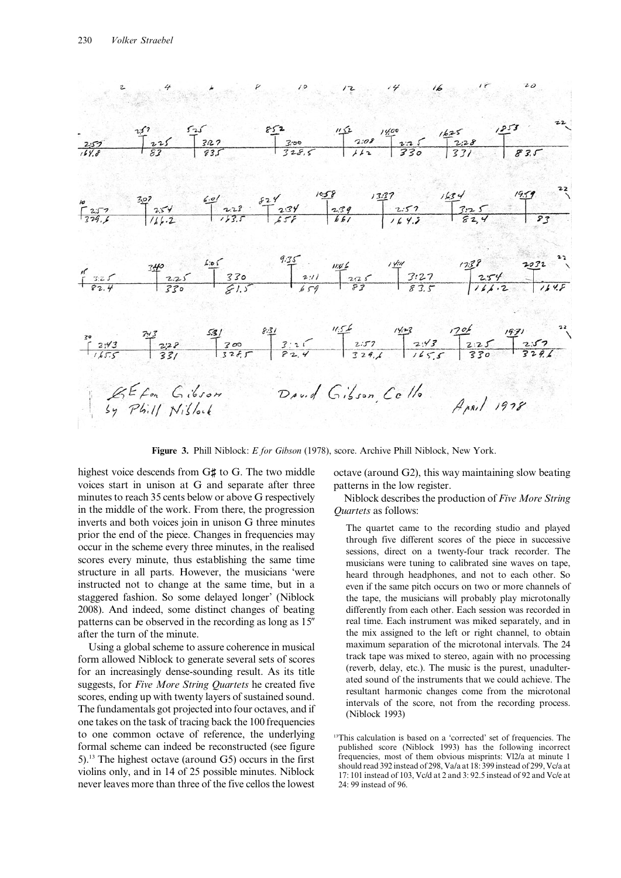

Figure 3. Phill Niblock: E for Gibson (1978), score. Archive Phill Niblock, New York.

highest voice descends from G# to G. The two middle voices start in unison at G and separate after three minutes to reach 35 cents below or above G respectively in the middle of the work. From there, the progression inverts and both voices join in unison G three minutes prior the end of the piece. Changes in frequencies may occur in the scheme every three minutes, in the realised scores every minute, thus establishing the same time structure in all parts. However, the musicians 'were instructed not to change at the same time, but in a staggered fashion. So some delayed longer' (Niblock 2008). And indeed, some distinct changes of beating patterns can be observed in the recording as long as 15" after the turn of the minute.

Using a global scheme to assure coherence in musical form allowed Niblock to generate several sets of scores for an increasingly dense-sounding result. As its title suggests, for Five More String Quartets he created five scores, ending up with twenty layers of sustained sound. The fundamentals got projected into four octaves, and if one takes on the task of tracing back the 100 frequencies to one common octave of reference, the underlying formal scheme can indeed be reconstructed (see figure 5).13 The highest octave (around G5) occurs in the first violins only, and in 14 of 25 possible minutes. Niblock never leaves more than three of the five cellos the lowest octave (around G2), this way maintaining slow beating patterns in the low register.

Niblock describes the production of Five More String Quartets as follows:

The quartet came to the recording studio and played through five different scores of the piece in successive sessions, direct on a twenty-four track recorder. The musicians were tuning to calibrated sine waves on tape, heard through headphones, and not to each other. So even if the same pitch occurs on two or more channels of the tape, the musicians will probably play microtonally differently from each other. Each session was recorded in real time. Each instrument was miked separately, and in the mix assigned to the left or right channel, to obtain maximum separation of the microtonal intervals. The 24 track tape was mixed to stereo, again with no processing (reverb, delay, etc.). The music is the purest, unadulterated sound of the instruments that we could achieve. The resultant harmonic changes come from the microtonal intervals of the score, not from the recording process. (Niblock 1993)

<sup>13</sup>This calculation is based on a 'corrected' set of frequencies. The published score (Niblock 1993) has the following incorrect frequencies, most of them obvious misprints: Vl2/a at minute 1 should read 392 instead of 298, Va/a at 18: 399 instead of 299, Vc/a at 17: 101 instead of 103, Vc/d at 2 and 3: 92.5 instead of 92 and Vc/e at 24: 99 instead of 96.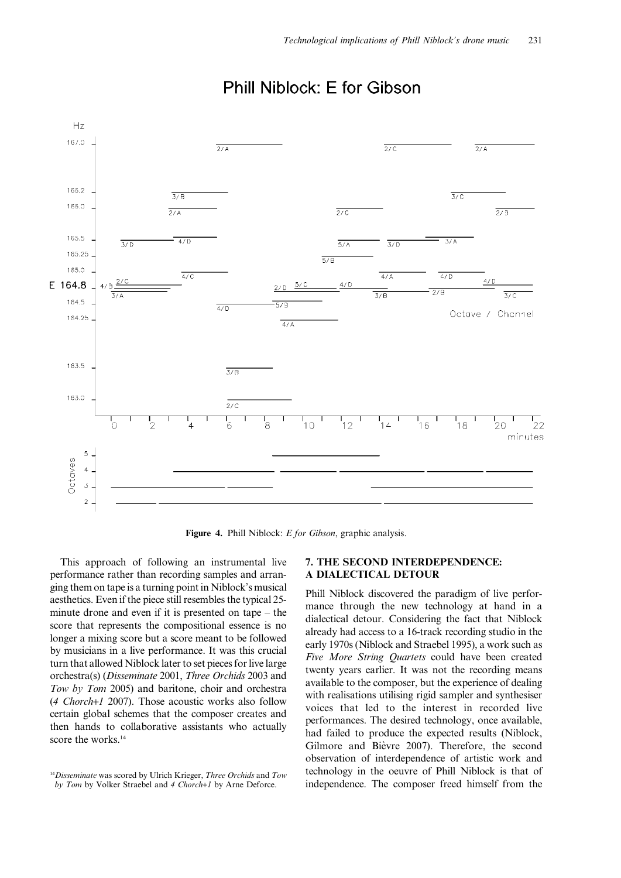

# Phill Niblock: F for Gibson

Figure 4. Phill Niblock: *E for Gibson*, graphic analysis.

This approach of following an instrumental live performance rather than recording samples and arranging them on tape is a turning point in Niblock's musical aesthetics. Even if the piece still resembles the typical 25 minute drone and even if it is presented on tape – the score that represents the compositional essence is no longer a mixing score but a score meant to be followed by musicians in a live performance. It was this crucial turn that allowed Niblock later to set pieces for live large orchestra(s) (Disseminate 2001, Three Orchids 2003 and Tow by Tom 2005) and baritone, choir and orchestra (4 Chorch+1 2007). Those acoustic works also follow certain global schemes that the composer creates and then hands to collaborative assistants who actually score the works.<sup>14</sup>

### 7. THE SECOND INTERDEPENDENCE: A DIALECTICAL DETOUR

Phill Niblock discovered the paradigm of live performance through the new technology at hand in a dialectical detour. Considering the fact that Niblock already had access to a 16-track recording studio in the early 1970s (Niblock and Straebel 1995), a work such as Five More String Quartets could have been created twenty years earlier. It was not the recording means available to the composer, but the experience of dealing with realisations utilising rigid sampler and synthesiser voices that led to the interest in recorded live performances. The desired technology, once available, had failed to produce the expected results (Niblock, Gilmore and Bièvre 2007). Therefore, the second observation of interdependence of artistic work and technology in the oeuvre of Phill Niblock is that of independence. The composer freed himself from the

 $14D$ isseminate was scored by Ulrich Krieger, Three Orchids and Tow by Tom by Volker Straebel and 4 Chorch+1 by Arne Deforce.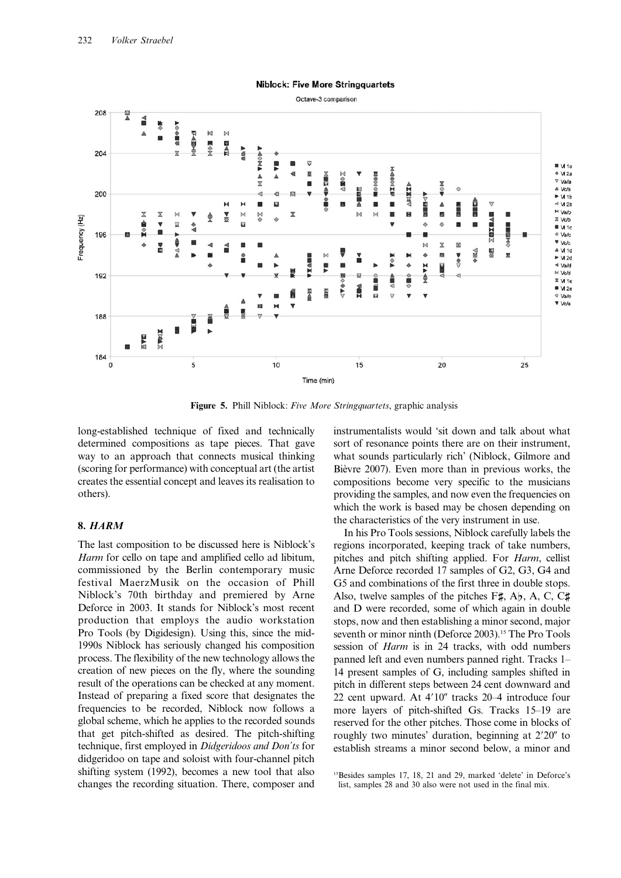

Figure 5. Phill Niblock: Five More Stringquartets, graphic analysis

long-established technique of fixed and technically determined compositions as tape pieces. That gave way to an approach that connects musical thinking (scoring for performance) with conceptual art (the artist creates the essential concept and leaves its realisation to others).

### 8. HARM

The last composition to be discussed here is Niblock's Harm for cello on tape and amplified cello ad libitum, commissioned by the Berlin contemporary music festival MaerzMusik on the occasion of Phill Niblock's 70th birthday and premiered by Arne Deforce in 2003. It stands for Niblock's most recent production that employs the audio workstation Pro Tools (by Digidesign). Using this, since the mid-1990s Niblock has seriously changed his composition process. The flexibility of the new technology allows the creation of new pieces on the fly, where the sounding result of the operations can be checked at any moment. Instead of preparing a fixed score that designates the frequencies to be recorded, Niblock now follows a global scheme, which he applies to the recorded sounds that get pitch-shifted as desired. The pitch-shifting technique, first employed in Didgeridoos and Don'ts for didgeridoo on tape and soloist with four-channel pitch shifting system (1992), becomes a new tool that also changes the recording situation. There, composer and instrumentalists would 'sit down and talk about what sort of resonance points there are on their instrument, what sounds particularly rich' (Niblock, Gilmore and Bièvre 2007). Even more than in previous works, the compositions become very specific to the musicians providing the samples, and now even the frequencies on which the work is based may be chosen depending on the characteristics of the very instrument in use.

In his Pro Tools sessions, Niblock carefully labels the regions incorporated, keeping track of take numbers, pitches and pitch shifting applied. For Harm, cellist Arne Deforce recorded 17 samples of G2, G3, G4 and G5 and combinations of the first three in double stops. Also, twelve samples of the pitches  $F\sharp$ , A<sub>b</sub>, A, C, C $\sharp$ and D were recorded, some of which again in double stops, now and then establishing a minor second, major seventh or minor ninth (Deforce 2003).<sup>15</sup> The Pro Tools session of Harm is in 24 tracks, with odd numbers panned left and even numbers panned right. Tracks 1– 14 present samples of G, including samples shifted in pitch in different steps between 24 cent downward and 22 cent upward. At  $4'10''$  tracks  $20-4$  introduce four more layers of pitch-shifted Gs. Tracks 15–19 are reserved for the other pitches. Those come in blocks of roughly two minutes' duration, beginning at 2'20" to establish streams a minor second below, a minor and

<sup>15</sup>Besides samples 17, 18, 21 and 29, marked 'delete' in Deforce's list, samples 28 and 30 also were not used in the final mix.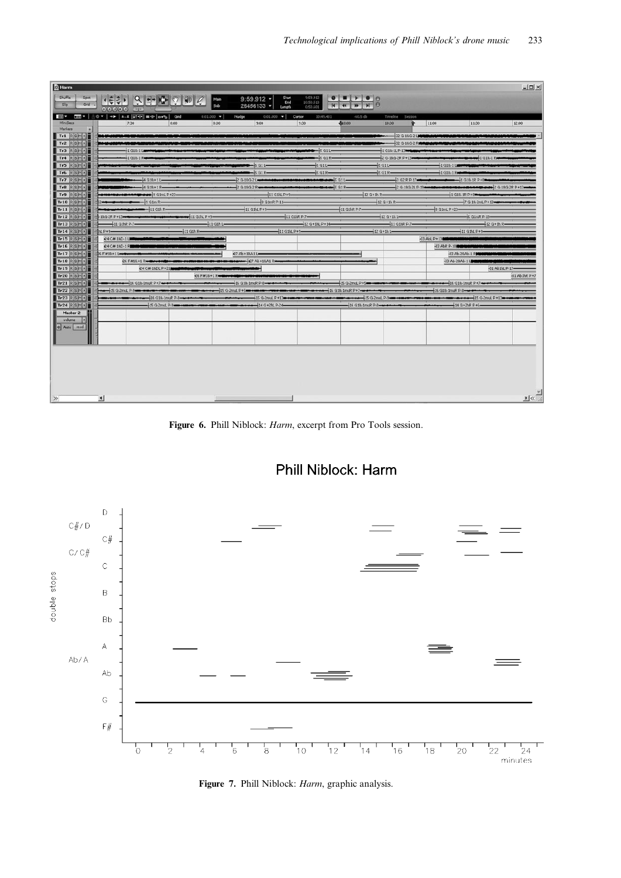| <b>Q</b> Harm                                    |                                                                                                                                                                                                                                                                                                                                                                                                                                 |                          |                                  |                                     |                                           |                                         |                                    |                                                | $ \Box$ $\times$                                                   |
|--------------------------------------------------|---------------------------------------------------------------------------------------------------------------------------------------------------------------------------------------------------------------------------------------------------------------------------------------------------------------------------------------------------------------------------------------------------------------------------------|--------------------------|----------------------------------|-------------------------------------|-------------------------------------------|-----------------------------------------|------------------------------------|------------------------------------------------|--------------------------------------------------------------------|
| Shuffle<br>Spot                                  | (ホリマリをつき                                                                                                                                                                                                                                                                                                                                                                                                                        |                          | Main                             | $9:59.912$ +                        | 9:59.912<br>Start<br>End<br>10:50.513     | $\bullet$ $\bullet$ $\bullet$ $\bullet$ |                                    |                                                |                                                                    |
| Sb<br>Grd $\sim$                                 | 000000 4                                                                                                                                                                                                                                                                                                                                                                                                                        |                          | <b>GA</b>                        | 26456133 -<br>Length                | 0:50.601                                  | $H$ $H$<br>$\overline{H}$               |                                    |                                                |                                                                    |
| <b>ER</b>                                        | $\boxed{\text{mm} \times \begin{bmatrix} 0 & \text{cm} \\ 0 & 0 \end{bmatrix}} \times \boxed{\text{m} \times \begin{bmatrix} 0 & \text{cm} \\ 0 & 0 \end{bmatrix}} \times \boxed{\text{m} \times \begin{bmatrix} 0 & \text{cm} \\ 0 & 0 \end{bmatrix}} \times \boxed{\text{m} \times \begin{bmatrix} 0 & \text{cm} \\ 0 & 0 \end{bmatrix}} \times \boxed{\text{m} \times \begin{bmatrix} 0 & \text{cm} \\ 0 & 0 \end{bmatrix}}$ |                          | $0:01.000$ $\blacktriangleright$ | $0:01.000$ $\bullet$<br>Nudge       | Curson<br>10:49.431                       | $-60.5$ db                              | Timeline<br>Session                |                                                |                                                                    |
| <b>MiniSecs</b><br>Markers                       | 7:30                                                                                                                                                                                                                                                                                                                                                                                                                            | 8:00                     | 8:30                             | 9:00                                | 9:30                                      | -610:00                                 | 10(30)<br>全                        | 11:00                                          | 12:00<br>11:30                                                     |
| $\rightarrow$<br>$Tr1$ $R$ $S$ $M$ $P$           |                                                                                                                                                                                                                                                                                                                                                                                                                                 |                          |                                  |                                     |                                           |                                         |                                    | 32 G-18G-2 Land Management and Way             |                                                                    |
| $Tr2$ $R$ $S$ $M$ $\cdot$                        |                                                                                                                                                                                                                                                                                                                                                                                                                                 |                          |                                  |                                     |                                           |                                         | 32 G-18G-2 Rummade                 |                                                |                                                                    |
| Tr3 RSM-                                         | 1 G18-1 Lawsen                                                                                                                                                                                                                                                                                                                                                                                                                  |                          |                                  |                                     | $-5911$                                   |                                         | 1 G18-1L P-13                      |                                                |                                                                    |
| Tr4 RSMI                                         | 1 G18-1 R                                                                                                                                                                                                                                                                                                                                                                                                                       |                          |                                  |                                     | $-$ 5 G1 R-                               |                                         | 2 G-18G-2R P+13                    |                                                | <b>B-4-4-1 G18-1 Red</b>                                           |
| Tr5 RSMI                                         |                                                                                                                                                                                                                                                                                                                                                                                                                                 |                          |                                  | $-5$ G1 L                           | $15$ G1 L-<br>$-5$ G1R-                   |                                         | $15$ G1 L-<br>$45$ G1 R-           | 1 G18-1 Last Control and Control<br>1 G18-1 Rm |                                                                    |
| Tr6 RSMI<br>Tr7 RSMI                             | $-4$ G18+1 L-                                                                                                                                                                                                                                                                                                                                                                                                                   |                          |                                  | $-5$ G1 <sub>R</sub><br>2 G-18G-2 L | <b>ement were SGIL</b>                    |                                         | 36200.17                           |                                                | $1$ G18-1R P+8                                                     |
| Tr8 RSMI                                         | $-4$ G18+1 R                                                                                                                                                                                                                                                                                                                                                                                                                    |                          |                                  | 2 G-18G-2 R                         |                                           | $\leftarrow$                            |                                    |                                                | 2 G-18G-2L P-19 Company of Management Company and C-18G-2R P+13 mm |
| Tr9 RSMI                                         | <b>November 4 members of Strike P+23-</b>                                                                                                                                                                                                                                                                                                                                                                                       |                          |                                  | 11 GIN P+9-                         |                                           |                                         | $-12$ G + 1h R-                    | 1 G18-1R P+8                                   |                                                                    |
| Trio RSMP                                        | $-19$ G1m R-                                                                                                                                                                                                                                                                                                                                                                                                                    |                          |                                  | $-9$ G1mR P-11-                     |                                           |                                         | $-12$ G + 1h R-                    |                                                | 7 G-18-2mL P+13                                                    |
| $Tr11$ $R$ $S$ $M$ $r$                           |                                                                                                                                                                                                                                                                                                                                                                                                                                 |                          |                                  | $+11$ GIN P+9-                      |                                           | $-11$ GINR P-7-                         |                                    | 49 G1mL P+23-                                  |                                                                    |
| Tr12 RSMI                                        | $-19.6 - 2R P + 13$<br>$-11$ GINR P-7-                                                                                                                                                                                                                                                                                                                                                                                          | <b>Home 11 GIN P+9</b>   | $-11$ Gih L-                     |                                     | $-11$ GINR $p.7-$<br>$-12$ G + 1N, P + 14 |                                         | $+12$ G + 1h L-<br>$-11$ GihR P-7- |                                                | $-6$ G1mR P-19 $-$<br>$-12$ G + 1h R -                             |
| $Tr13$ $R$ $S$ $M$ $F$<br>$Tr14$ $R$ $S$ $M$ $F$ | IN P+9.                                                                                                                                                                                                                                                                                                                                                                                                                         | $-11$ G <sub>1h</sub> R- |                                  |                                     | $-11$ GIN P+9-                            |                                         | $+12$ G + 1h L-                    |                                                | 11 GIN P+9-                                                        |
| $Tr15$ RSMP                                      | 24 CW-18D-1 LIMING                                                                                                                                                                                                                                                                                                                                                                                                              |                          |                                  |                                     |                                           |                                         |                                    | -33 AbL P + 13 Calvano mids and                |                                                                    |
| $Tri6$ $RSM$                                     | £4 C#-18D-1 R                                                                                                                                                                                                                                                                                                                                                                                                                   |                          |                                  |                                     |                                           |                                         |                                    | 33 AbR P-10100000000                           |                                                                    |
| Tr17 RSMI                                        | 26 F#18+1 Level                                                                                                                                                                                                                                                                                                                                                                                                                 |                          |                                  | @7 Ab+18A1 L                        |                                           |                                         |                                    | -33 Ab-20Ab-1 RMM                              |                                                                    |
| Tris RSMI                                        | <b>26 F#18 +1 Reserve AND</b>                                                                                                                                                                                                                                                                                                                                                                                                   |                          |                                  | 07 Ab + 18A1 Rd                     |                                           |                                         |                                    | -33 Ab-28Ab-1 LENEL                            |                                                                    |
| Tr19 RSMP<br>Tr20 RSMI                           |                                                                                                                                                                                                                                                                                                                                                                                                                                 | 24 CM-18DL P+21 100      | <b>Q6 FW19+1 Resear</b>          |                                     |                                           |                                         |                                    |                                                | 31 Ab1hL P-17-<br>-31 AbthR P+7                                    |
| $Tr21$ $R$ $S$ $M$ $r$                           | $-16$ G18-1muR P+7 $-$                                                                                                                                                                                                                                                                                                                                                                                                          |                          |                                  | 16 G18-1muR P-8-                    |                                           | 15 G-2muL P +5                          |                                    | $-16$ G18-1mdR P+7-                            |                                                                    |
| $Tr22$ $RSM$                                     | $-15$ G-2muL P-9                                                                                                                                                                                                                                                                                                                                                                                                                |                          |                                  |                                     |                                           | 16 G18-1muR P+7-                        |                                    | 16 G18-1muR P-8-                               |                                                                    |
| $Tr23$ $R$ $S$ $M$ $\bullet$ $\bullet$           |                                                                                                                                                                                                                                                                                                                                                                                                                                 | $-16$ G18-1muR P-8-      |                                  | 15 G-2mul, P+13                     |                                           |                                         | 15 G-2mul, P-9 am 100              |                                                | $-15$ G-2mod, $P+13$                                               |
| $Tr24$ $RSH$                                     |                                                                                                                                                                                                                                                                                                                                                                                                                                 | 15 G-2mul, P-9           |                                  | $-14$ G +2hL P-24                   |                                           | $-16$ G18-1muR P-8-                     |                                    | $-14$ G+2hR P+6-                               |                                                                    |
| Master 2                                         |                                                                                                                                                                                                                                                                                                                                                                                                                                 |                          |                                  |                                     |                                           |                                         |                                    |                                                |                                                                    |
| volume  <br>o Auto read                          |                                                                                                                                                                                                                                                                                                                                                                                                                                 |                          |                                  |                                     |                                           |                                         |                                    |                                                |                                                                    |
|                                                  |                                                                                                                                                                                                                                                                                                                                                                                                                                 |                          |                                  |                                     |                                           |                                         |                                    |                                                |                                                                    |
|                                                  |                                                                                                                                                                                                                                                                                                                                                                                                                                 |                          |                                  |                                     |                                           |                                         |                                    |                                                |                                                                    |
|                                                  |                                                                                                                                                                                                                                                                                                                                                                                                                                 |                          |                                  |                                     |                                           |                                         |                                    |                                                |                                                                    |
|                                                  |                                                                                                                                                                                                                                                                                                                                                                                                                                 |                          |                                  |                                     |                                           |                                         |                                    |                                                |                                                                    |
|                                                  |                                                                                                                                                                                                                                                                                                                                                                                                                                 |                          |                                  |                                     |                                           |                                         |                                    |                                                |                                                                    |
|                                                  |                                                                                                                                                                                                                                                                                                                                                                                                                                 |                          |                                  |                                     |                                           |                                         |                                    |                                                |                                                                    |
|                                                  |                                                                                                                                                                                                                                                                                                                                                                                                                                 |                          |                                  |                                     |                                           |                                         |                                    |                                                |                                                                    |
|                                                  |                                                                                                                                                                                                                                                                                                                                                                                                                                 |                          |                                  |                                     |                                           |                                         |                                    |                                                | ⊻∝ু                                                                |
| $\gg$                                            | $\left  \cdot \right $                                                                                                                                                                                                                                                                                                                                                                                                          |                          |                                  |                                     |                                           |                                         |                                    |                                                |                                                                    |

Figure 6. Phill Niblock: Harm, excerpt from Pro Tools session.





Figure 7. Phill Niblock: Harm, graphic analysis.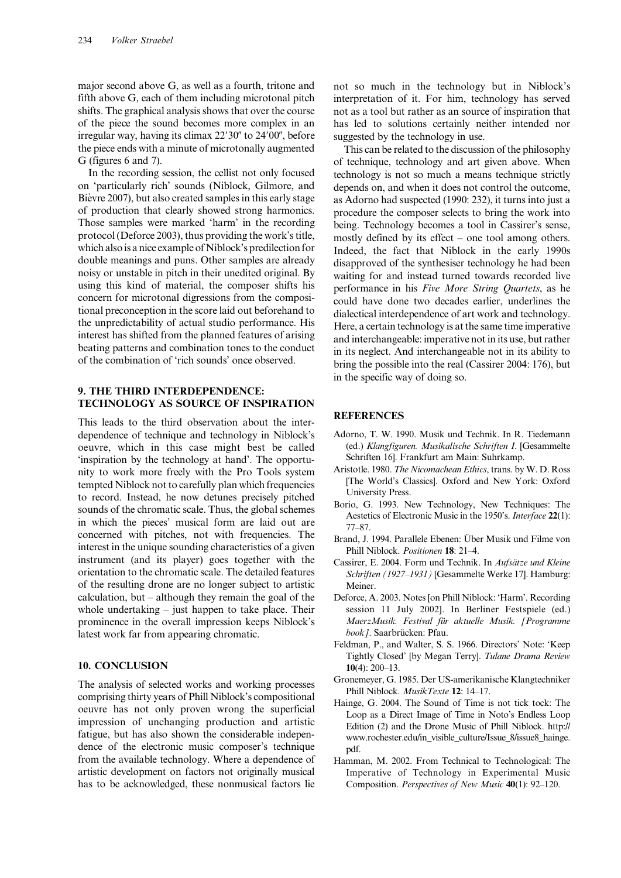major second above G, as well as a fourth, tritone and fifth above G, each of them including microtonal pitch shifts. The graphical analysis shows that over the course of the piece the sound becomes more complex in an irregular way, having its climax  $22'30''$  to  $24'00''$ , before the piece ends with a minute of microtonally augmented G (figures 6 and 7).

In the recording session, the cellist not only focused on 'particularly rich' sounds (Niblock, Gilmore, and Bièvre 2007), but also created samples in this early stage of production that clearly showed strong harmonics. Those samples were marked 'harm' in the recording protocol (Deforce 2003), thus providing the work's title, which alsois a nice example of Niblock's predilection for double meanings and puns. Other samples are already noisy or unstable in pitch in their unedited original. By using this kind of material, the composer shifts his concern for microtonal digressions from the compositional preconception in the score laid out beforehand to the unpredictability of actual studio performance. His interest has shifted from the planned features of arising beating patterns and combination tones to the conduct of the combination of 'rich sounds' once observed.

### 9. THE THIRD INTERDEPENDENCE: TECHNOLOGY AS SOURCE OF INSPIRATION

This leads to the third observation about the interdependence of technique and technology in Niblock's oeuvre, which in this case might best be called 'inspiration by the technology at hand'. The opportunity to work more freely with the Pro Tools system tempted Niblock not to carefully plan which frequencies to record. Instead, he now detunes precisely pitched sounds of the chromatic scale. Thus, the global schemes in which the pieces' musical form are laid out are concerned with pitches, not with frequencies. The interest in the unique sounding characteristics of a given instrument (and its player) goes together with the orientation to the chromatic scale. The detailed features of the resulting drone are no longer subject to artistic calculation, but – although they remain the goal of the whole undertaking – just happen to take place. Their prominence in the overall impression keeps Niblock's latest work far from appearing chromatic.

### 10. CONCLUSION

The analysis of selected works and working processes comprising thirty years of Phill Niblock's compositional oeuvre has not only proven wrong the superficial impression of unchanging production and artistic fatigue, but has also shown the considerable independence of the electronic music composer's technique from the available technology. Where a dependence of artistic development on factors not originally musical has to be acknowledged, these nonmusical factors lie

not so much in the technology but in Niblock's interpretation of it. For him, technology has served not as a tool but rather as an source of inspiration that has led to solutions certainly neither intended nor suggested by the technology in use.

This can be related to the discussion of the philosophy of technique, technology and art given above. When technology is not so much a means technique strictly depends on, and when it does not control the outcome, as Adorno had suspected (1990: 232), it turns into just a procedure the composer selects to bring the work into being. Technology becomes a tool in Cassirer's sense, mostly defined by its effect – one tool among others. Indeed, the fact that Niblock in the early 1990s disapproved of the synthesiser technology he had been waiting for and instead turned towards recorded live performance in his Five More String Quartets, as he could have done two decades earlier, underlines the dialectical interdependence of art work and technology. Here, a certain technology is at the same time imperative and interchangeable: imperative not in its use, but rather in its neglect. And interchangeable not in its ability to bring the possible into the real (Cassirer 2004: 176), but in the specific way of doing so.

### **REFERENCES**

- Adorno, T. W. 1990. Musik und Technik. In R. Tiedemann (ed.) Klangfiguren. Musikalische Schriften I. [Gesammelte Schriften 16]. Frankfurt am Main: Suhrkamp.
- Aristotle. 1980. The Nicomachean Ethics, trans. by W. D. Ross [The World's Classics]. Oxford and New York: Oxford University Press.
- Borio, G. 1993. New Technology, New Techniques: The Aestetics of Electronic Music in the 1950's. Interface 22(1): 77–87.
- Brand, J. 1994. Parallele Ebenen: Über Musik und Filme von Phill Niblock. Positionen 18: 21–4.
- Cassirer, E. 2004. Form und Technik. In Aufsätze und Kleine Schriften (1927–1931) [Gesammelte Werke 17]. Hamburg: Meiner.
- Deforce, A. 2003. Notes [on Phill Niblock: 'Harm'. Recording session 11 July 2002]. In Berliner Festspiele (ed.) MaerzMusik. Festival für aktuelle Musik. [Programme book]. Saarbrücken: Pfau.
- Feldman, P., and Walter, S. S. 1966. Directors' Note: 'Keep Tightly Closed' [by Megan Terry]. Tulane Drama Review 10(4): 200–13.
- Gronemeyer, G. 1985. Der US-amerikanische Klangtechniker Phill Niblock. MusikTexte 12: 14–17.
- Hainge, G. 2004. The Sound of Time is not tick tock: The Loop as a Direct Image of Time in Noto's Endless Loop Edition (2) and the Drone Music of Phill Niblock. http:// www.rochester.edu/in\_visible\_culture/Issue\_8/issue8\_hainge. pdf.
- Hamman, M. 2002. From Technical to Technological: The Imperative of Technology in Experimental Music Composition. Perspectives of New Music 40(1): 92–120.